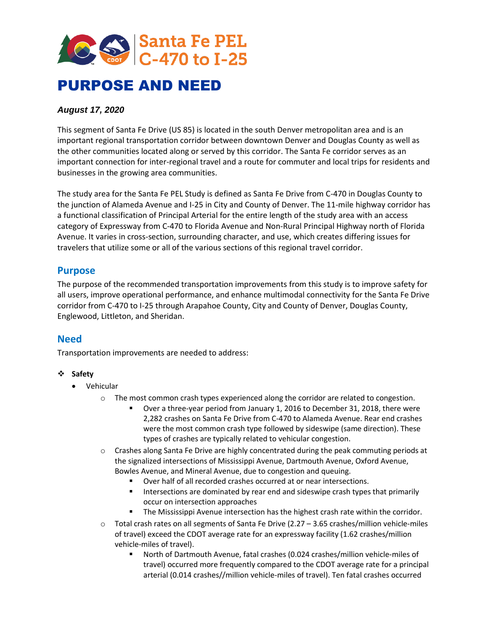

# PURPOSE AND NEED

### *August 17, 2020*

This segment of Santa Fe Drive (US 85) is located in the south Denver metropolitan area and is an important regional transportation corridor between downtown Denver and Douglas County as well as the other communities located along or served by this corridor. The Santa Fe corridor serves as an important connection for inter-regional travel and a route for commuter and local trips for residents and businesses in the growing area communities.

The study area for the Santa Fe PEL Study is defined as Santa Fe Drive from C-470 in Douglas County to the junction of Alameda Avenue and I-25 in City and County of Denver. The 11-mile highway corridor has a functional classification of Principal Arterial for the entire length of the study area with an access category of Expressway from C-470 to Florida Avenue and Non-Rural Principal Highway north of Florida Avenue. It varies in cross-section, surrounding character, and use, which creates differing issues for travelers that utilize some or all of the various sections of this regional travel corridor.

## **Purpose**

The purpose of the recommended transportation improvements from this study is to improve safety for all users, improve operational performance, and enhance multimodal connectivity for the Santa Fe Drive corridor from C-470 to I-25 through Arapahoe County, City and County of Denver, Douglas County, Englewood, Littleton, and Sheridan.

## **Need**

Transportation improvements are needed to address:

#### ❖ **Safety**

- Vehicular
	- o The most common crash types experienced along the corridor are related to congestion.
		- Over a three-year period from January 1, 2016 to December 31, 2018, there were 2,282 crashes on Santa Fe Drive from C-470 to Alameda Avenue. Rear end crashes were the most common crash type followed by sideswipe (same direction). These types of crashes are typically related to vehicular congestion.
	- o Crashes along Santa Fe Drive are highly concentrated during the peak commuting periods at the signalized intersections of Mississippi Avenue, Dartmouth Avenue, Oxford Avenue, Bowles Avenue, and Mineral Avenue, due to congestion and queuing.
		- Over half of all recorded crashes occurred at or near intersections.
		- Intersections are dominated by rear end and sideswipe crash types that primarily occur on intersection approaches
		- The Mississippi Avenue intersection has the highest crash rate within the corridor.
	- $\circ$  Total crash rates on all segments of Santa Fe Drive (2.27 3.65 crashes/million vehicle-miles of travel) exceed the CDOT average rate for an expressway facility (1.62 crashes/million vehicle-miles of travel).
		- North of Dartmouth Avenue, fatal crashes (0.024 crashes/million vehicle-miles of travel) occurred more frequently compared to the CDOT average rate for a principal arterial (0.014 crashes//million vehicle-miles of travel). Ten fatal crashes occurred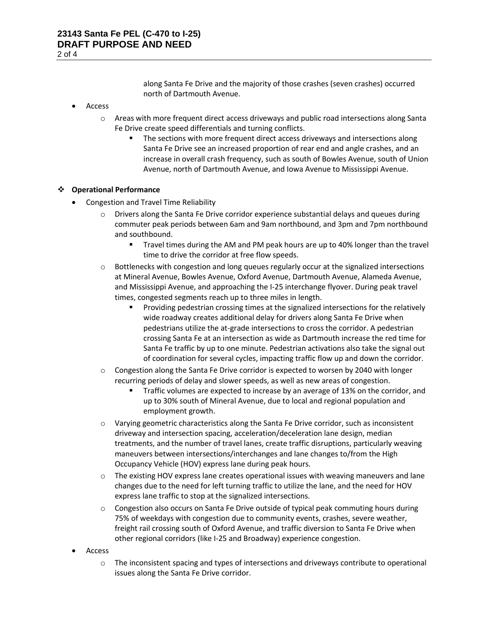along Santa Fe Drive and the majority of those crashes (seven crashes) occurred north of Dartmouth Avenue.

- Access
	- o Areas with more frequent direct access driveways and public road intersections along Santa Fe Drive create speed differentials and turning conflicts.
		- The sections with more frequent direct access driveways and intersections along Santa Fe Drive see an increased proportion of rear end and angle crashes, and an increase in overall crash frequency, such as south of Bowles Avenue, south of Union Avenue, north of Dartmouth Avenue, and Iowa Avenue to Mississippi Avenue.

#### ❖ **Operational Performance**

- Congestion and Travel Time Reliability
	- $\circ$  Drivers along the Santa Fe Drive corridor experience substantial delays and queues during commuter peak periods between 6am and 9am northbound, and 3pm and 7pm northbound and southbound.
		- Travel times during the AM and PM peak hours are up to 40% longer than the travel time to drive the corridor at free flow speeds.
	- $\circ$  Bottlenecks with congestion and long queues regularly occur at the signalized intersections at Mineral Avenue, Bowles Avenue, Oxford Avenue, Dartmouth Avenue, Alameda Avenue, and Mississippi Avenue, and approaching the I-25 interchange flyover. During peak travel times, congested segments reach up to three miles in length.
		- Providing pedestrian crossing times at the signalized intersections for the relatively wide roadway creates additional delay for drivers along Santa Fe Drive when pedestrians utilize the at-grade intersections to cross the corridor. A pedestrian crossing Santa Fe at an intersection as wide as Dartmouth increase the red time for Santa Fe traffic by up to one minute. Pedestrian activations also take the signal out of coordination for several cycles, impacting traffic flow up and down the corridor.
	- $\circ$  Congestion along the Santa Fe Drive corridor is expected to worsen by 2040 with longer recurring periods of delay and slower speeds, as well as new areas of congestion.
		- Traffic volumes are expected to increase by an average of 13% on the corridor, and up to 30% south of Mineral Avenue, due to local and regional population and employment growth.
	- o Varying geometric characteristics along the Santa Fe Drive corridor, such as inconsistent driveway and intersection spacing, acceleration/deceleration lane design, median treatments, and the number of travel lanes, create traffic disruptions, particularly weaving maneuvers between intersections/interchanges and lane changes to/from the High Occupancy Vehicle (HOV) express lane during peak hours.
	- o The existing HOV express lane creates operational issues with weaving maneuvers and lane changes due to the need for left turning traffic to utilize the lane, and the need for HOV express lane traffic to stop at the signalized intersections.
	- o Congestion also occurs on Santa Fe Drive outside of typical peak commuting hours during 75% of weekdays with congestion due to community events, crashes, severe weather, freight rail crossing south of Oxford Avenue, and traffic diversion to Santa Fe Drive when other regional corridors (like I-25 and Broadway) experience congestion.
- Access
	- o The inconsistent spacing and types of intersections and driveways contribute to operational issues along the Santa Fe Drive corridor.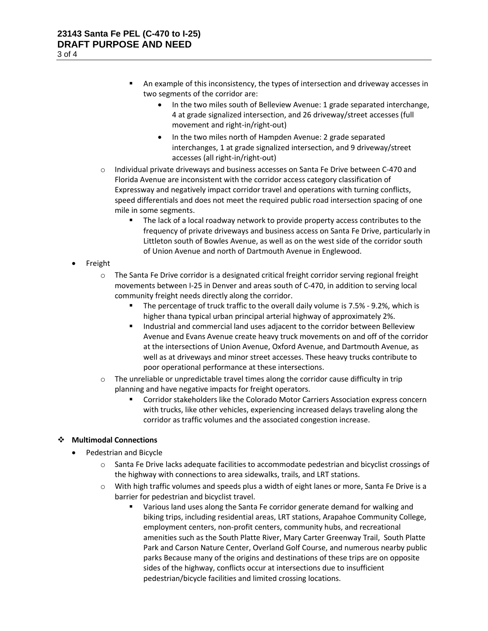- An example of this inconsistency, the types of intersection and driveway accesses in two segments of the corridor are:
	- In the two miles south of Belleview Avenue: 1 grade separated interchange, 4 at grade signalized intersection, and 26 driveway/street accesses (full movement and right-in/right-out)
	- In the two miles north of Hampden Avenue: 2 grade separated interchanges, 1 at grade signalized intersection, and 9 driveway/street accesses (all right-in/right-out)
- $\circ$  Individual private driveways and business accesses on Santa Fe Drive between C-470 and Florida Avenue are inconsistent with the corridor access category classification of Expressway and negatively impact corridor travel and operations with turning conflicts, speed differentials and does not meet the required public road intersection spacing of one mile in some segments.
	- The lack of a local roadway network to provide property access contributes to the frequency of private driveways and business access on Santa Fe Drive, particularly in Littleton south of Bowles Avenue, as well as on the west side of the corridor south of Union Avenue and north of Dartmouth Avenue in Englewood.
- **Freight** 
	- $\circ$  The Santa Fe Drive corridor is a designated critical freight corridor serving regional freight movements between I-25 in Denver and areas south of C-470, in addition to serving local community freight needs directly along the corridor.
		- The percentage of truck traffic to the overall daily volume is 7.5% 9.2%, which is higher thana typical urban principal arterial highway of approximately 2%.
		- Industrial and commercial land uses adjacent to the corridor between Belleview Avenue and Evans Avenue create heavy truck movements on and off of the corridor at the intersections of Union Avenue, Oxford Avenue, and Dartmouth Avenue, as well as at driveways and minor street accesses. These heavy trucks contribute to poor operational performance at these intersections.
	- $\circ$  The unreliable or unpredictable travel times along the corridor cause difficulty in trip planning and have negative impacts for freight operators.
		- Corridor stakeholders like the Colorado Motor Carriers Association express concern with trucks, like other vehicles, experiencing increased delays traveling along the corridor as traffic volumes and the associated congestion increase.

#### ❖ **Multimodal Connections**

- Pedestrian and Bicycle
	- o Santa Fe Drive lacks adequate facilities to accommodate pedestrian and bicyclist crossings of the highway with connections to area sidewalks, trails, and LRT stations.
	- o With high traffic volumes and speeds plus a width of eight lanes or more, Santa Fe Drive is a barrier for pedestrian and bicyclist travel.
		- Various land uses along the Santa Fe corridor generate demand for walking and biking trips, including residential areas, LRT stations, Arapahoe Community College, employment centers, non-profit centers, community hubs, and recreational amenities such as the South Platte River, Mary Carter Greenway Trail, South Platte Park and Carson Nature Center, Overland Golf Course, and numerous nearby public parks Because many of the origins and destinations of these trips are on opposite sides of the highway, conflicts occur at intersections due to insufficient pedestrian/bicycle facilities and limited crossing locations.